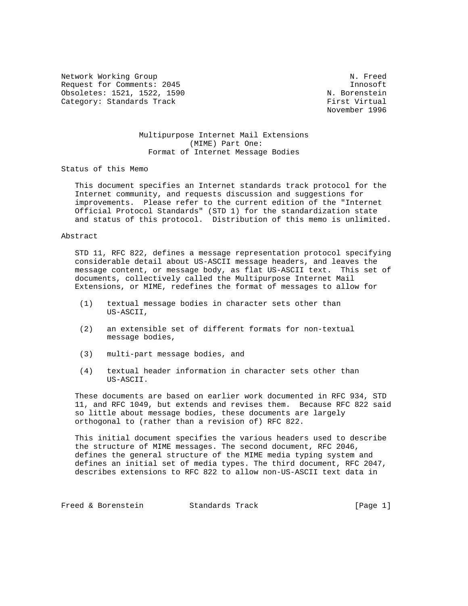Network Working Group Network of the Muslim Communication of the Muslim Communication of Muslim Communication Request for Comments: 2045 Innosoft Obsoletes: 1521, 1522, 1590 N. Borenstein Category: Standards Track First Virtual

November 1996

## Multipurpose Internet Mail Extensions (MIME) Part One: Format of Internet Message Bodies

Status of this Memo

 This document specifies an Internet standards track protocol for the Internet community, and requests discussion and suggestions for improvements. Please refer to the current edition of the "Internet Official Protocol Standards" (STD 1) for the standardization state and status of this protocol. Distribution of this memo is unlimited.

## Abstract

 STD 11, RFC 822, defines a message representation protocol specifying considerable detail about US-ASCII message headers, and leaves the message content, or message body, as flat US-ASCII text. This set of documents, collectively called the Multipurpose Internet Mail Extensions, or MIME, redefines the format of messages to allow for

- (1) textual message bodies in character sets other than US-ASCII,
- (2) an extensible set of different formats for non-textual message bodies,
- (3) multi-part message bodies, and
- (4) textual header information in character sets other than US-ASCII.

 These documents are based on earlier work documented in RFC 934, STD 11, and RFC 1049, but extends and revises them. Because RFC 822 said so little about message bodies, these documents are largely orthogonal to (rather than a revision of) RFC 822.

 This initial document specifies the various headers used to describe the structure of MIME messages. The second document, RFC 2046, defines the general structure of the MIME media typing system and defines an initial set of media types. The third document, RFC 2047, describes extensions to RFC 822 to allow non-US-ASCII text data in

Freed & Borenstein Standards Track [Page 1]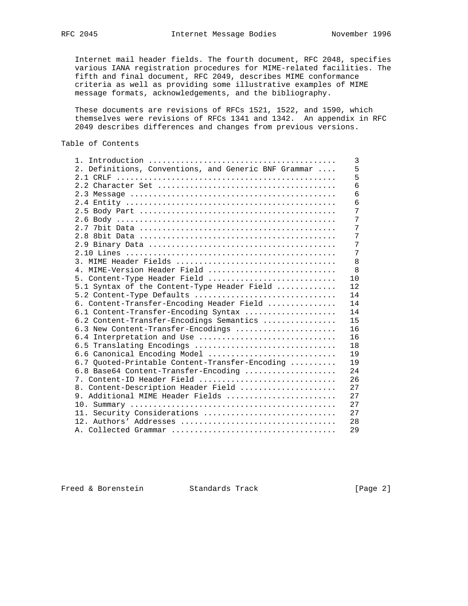Internet mail header fields. The fourth document, RFC 2048, specifies various IANA registration procedures for MIME-related facilities. The fifth and final document, RFC 2049, describes MIME conformance criteria as well as providing some illustrative examples of MIME message formats, acknowledgements, and the bibliography.

 These documents are revisions of RFCs 1521, 1522, and 1590, which themselves were revisions of RFCs 1341 and 1342. An appendix in RFC 2049 describes differences and changes from previous versions.

# Table of Contents

|                                                      | 3  |
|------------------------------------------------------|----|
| 2. Definitions, Conventions, and Generic BNF Grammar | 5  |
|                                                      | 5  |
|                                                      | 6  |
|                                                      | 6  |
|                                                      | 6  |
|                                                      | 7  |
|                                                      | 7  |
|                                                      | 7  |
|                                                      | 7  |
|                                                      | 7  |
|                                                      | 7  |
|                                                      | 8  |
| 4. MIME-Version Header Field                         | 8  |
| 5. Content-Type Header Field                         | 10 |
| 5.1 Syntax of the Content-Type Header Field          | 12 |
| 5.2 Content-Type Defaults                            | 14 |
| 6. Content-Transfer-Encoding Header Field            | 14 |
| 6.1 Content-Transfer-Encoding Syntax                 | 14 |
| 6.2 Content-Transfer-Encodings Semantics             | 15 |
| 6.3 New Content-Transfer-Encodings                   | 16 |
| 6.4 Interpretation and Use                           | 16 |
| 6.5 Translating Encodings                            | 18 |
| 6.6 Canonical Encoding Model                         | 19 |
| 6.7 Quoted-Printable Content-Transfer-Encoding       | 19 |
| 6.8 Base64 Content-Transfer-Encoding                 | 24 |
| 7. Content-ID Header Field                           | 26 |
| 8. Content-Description Header Field                  | 27 |
| 9. Additional MIME Header Fields                     | 27 |
|                                                      | 27 |
| 11. Security Considerations                          | 27 |
|                                                      | 28 |
|                                                      | 29 |

Freed & Borenstein Standards Track [Page 2]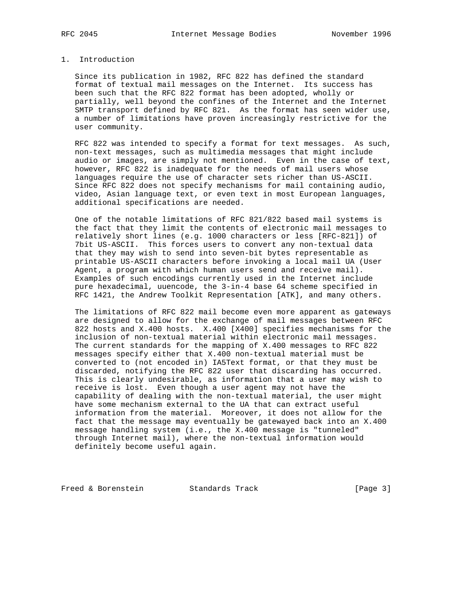## 1. Introduction

 Since its publication in 1982, RFC 822 has defined the standard format of textual mail messages on the Internet. Its success has been such that the RFC 822 format has been adopted, wholly or partially, well beyond the confines of the Internet and the Internet SMTP transport defined by RFC 821. As the format has seen wider use, a number of limitations have proven increasingly restrictive for the user community.

 RFC 822 was intended to specify a format for text messages. As such, non-text messages, such as multimedia messages that might include audio or images, are simply not mentioned. Even in the case of text, however, RFC 822 is inadequate for the needs of mail users whose languages require the use of character sets richer than US-ASCII. Since RFC 822 does not specify mechanisms for mail containing audio, video, Asian language text, or even text in most European languages, additional specifications are needed.

 One of the notable limitations of RFC 821/822 based mail systems is the fact that they limit the contents of electronic mail messages to relatively short lines (e.g. 1000 characters or less [RFC-821]) of 7bit US-ASCII. This forces users to convert any non-textual data that they may wish to send into seven-bit bytes representable as printable US-ASCII characters before invoking a local mail UA (User Agent, a program with which human users send and receive mail). Examples of such encodings currently used in the Internet include pure hexadecimal, uuencode, the 3-in-4 base 64 scheme specified in RFC 1421, the Andrew Toolkit Representation [ATK], and many others.

 The limitations of RFC 822 mail become even more apparent as gateways are designed to allow for the exchange of mail messages between RFC 822 hosts and X.400 hosts. X.400 [X400] specifies mechanisms for the inclusion of non-textual material within electronic mail messages. The current standards for the mapping of X.400 messages to RFC 822 messages specify either that X.400 non-textual material must be converted to (not encoded in) IA5Text format, or that they must be discarded, notifying the RFC 822 user that discarding has occurred. This is clearly undesirable, as information that a user may wish to receive is lost. Even though a user agent may not have the capability of dealing with the non-textual material, the user might have some mechanism external to the UA that can extract useful information from the material. Moreover, it does not allow for the fact that the message may eventually be gatewayed back into an X.400 message handling system (i.e., the X.400 message is "tunneled" through Internet mail), where the non-textual information would definitely become useful again.

Freed & Borenstein Standards Track [Page 3]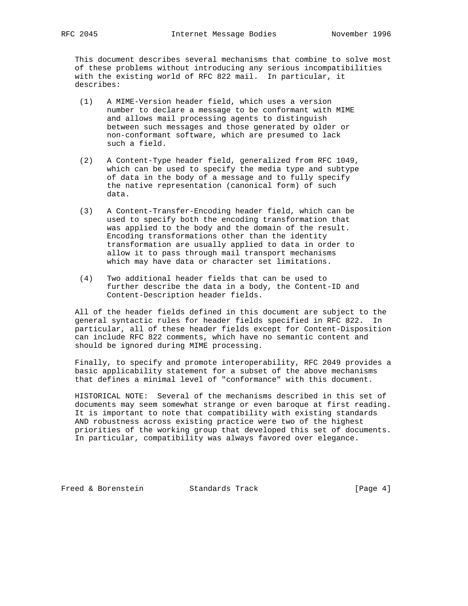This document describes several mechanisms that combine to solve most of these problems without introducing any serious incompatibilities with the existing world of RFC 822 mail. In particular, it describes:

- (1) A MIME-Version header field, which uses a version number to declare a message to be conformant with MIME and allows mail processing agents to distinguish between such messages and those generated by older or non-conformant software, which are presumed to lack such a field.
- (2) A Content-Type header field, generalized from RFC 1049, which can be used to specify the media type and subtype of data in the body of a message and to fully specify the native representation (canonical form) of such data.
- (3) A Content-Transfer-Encoding header field, which can be used to specify both the encoding transformation that was applied to the body and the domain of the result. Encoding transformations other than the identity transformation are usually applied to data in order to allow it to pass through mail transport mechanisms which may have data or character set limitations.
- (4) Two additional header fields that can be used to further describe the data in a body, the Content-ID and Content-Description header fields.

 All of the header fields defined in this document are subject to the general syntactic rules for header fields specified in RFC 822. In particular, all of these header fields except for Content-Disposition can include RFC 822 comments, which have no semantic content and should be ignored during MIME processing.

 Finally, to specify and promote interoperability, RFC 2049 provides a basic applicability statement for a subset of the above mechanisms that defines a minimal level of "conformance" with this document.

 HISTORICAL NOTE: Several of the mechanisms described in this set of documents may seem somewhat strange or even baroque at first reading. It is important to note that compatibility with existing standards AND robustness across existing practice were two of the highest priorities of the working group that developed this set of documents. In particular, compatibility was always favored over elegance.

Freed & Borenstein Standards Track [Page 4]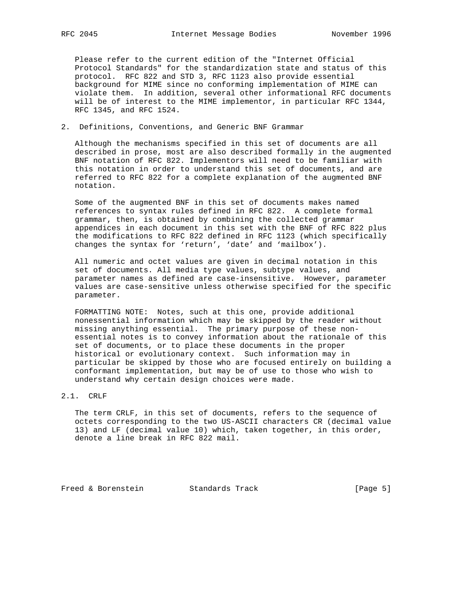Please refer to the current edition of the "Internet Official Protocol Standards" for the standardization state and status of this protocol. RFC 822 and STD 3, RFC 1123 also provide essential background for MIME since no conforming implementation of MIME can violate them. In addition, several other informational RFC documents will be of interest to the MIME implementor, in particular RFC 1344, RFC 1345, and RFC 1524.

2. Definitions, Conventions, and Generic BNF Grammar

 Although the mechanisms specified in this set of documents are all described in prose, most are also described formally in the augmented BNF notation of RFC 822. Implementors will need to be familiar with this notation in order to understand this set of documents, and are referred to RFC 822 for a complete explanation of the augmented BNF notation.

 Some of the augmented BNF in this set of documents makes named references to syntax rules defined in RFC 822. A complete formal grammar, then, is obtained by combining the collected grammar appendices in each document in this set with the BNF of RFC 822 plus the modifications to RFC 822 defined in RFC 1123 (which specifically changes the syntax for 'return', 'date' and 'mailbox').

 All numeric and octet values are given in decimal notation in this set of documents. All media type values, subtype values, and parameter names as defined are case-insensitive. However, parameter values are case-sensitive unless otherwise specified for the specific parameter.

 FORMATTING NOTE: Notes, such at this one, provide additional nonessential information which may be skipped by the reader without missing anything essential. The primary purpose of these non essential notes is to convey information about the rationale of this set of documents, or to place these documents in the proper historical or evolutionary context. Such information may in particular be skipped by those who are focused entirely on building a conformant implementation, but may be of use to those who wish to understand why certain design choices were made.

#### 2.1. CRLF

 The term CRLF, in this set of documents, refers to the sequence of octets corresponding to the two US-ASCII characters CR (decimal value 13) and LF (decimal value 10) which, taken together, in this order, denote a line break in RFC 822 mail.

Freed & Borenstein Standards Track [Page 5]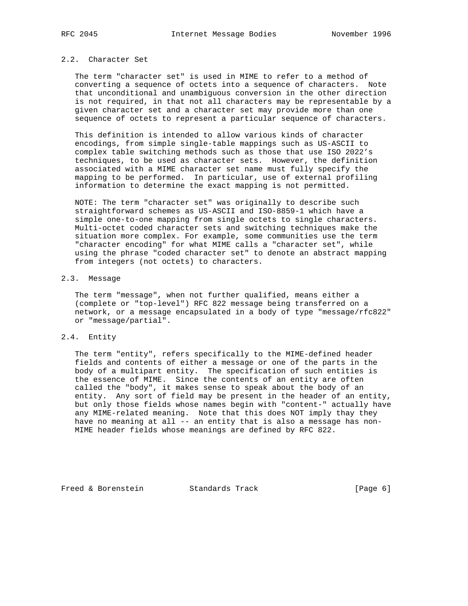## 2.2. Character Set

 The term "character set" is used in MIME to refer to a method of converting a sequence of octets into a sequence of characters. Note that unconditional and unambiguous conversion in the other direction is not required, in that not all characters may be representable by a given character set and a character set may provide more than one sequence of octets to represent a particular sequence of characters.

 This definition is intended to allow various kinds of character encodings, from simple single-table mappings such as US-ASCII to complex table switching methods such as those that use ISO 2022's techniques, to be used as character sets. However, the definition associated with a MIME character set name must fully specify the mapping to be performed. In particular, use of external profiling information to determine the exact mapping is not permitted.

 NOTE: The term "character set" was originally to describe such straightforward schemes as US-ASCII and ISO-8859-1 which have a simple one-to-one mapping from single octets to single characters. Multi-octet coded character sets and switching techniques make the situation more complex. For example, some communities use the term "character encoding" for what MIME calls a "character set", while using the phrase "coded character set" to denote an abstract mapping from integers (not octets) to characters.

## 2.3. Message

 The term "message", when not further qualified, means either a (complete or "top-level") RFC 822 message being transferred on a network, or a message encapsulated in a body of type "message/rfc822" or "message/partial".

## 2.4. Entity

 The term "entity", refers specifically to the MIME-defined header fields and contents of either a message or one of the parts in the body of a multipart entity. The specification of such entities is the essence of MIME. Since the contents of an entity are often called the "body", it makes sense to speak about the body of an entity. Any sort of field may be present in the header of an entity, but only those fields whose names begin with "content-" actually have any MIME-related meaning. Note that this does NOT imply thay they have no meaning at all -- an entity that is also a message has non- MIME header fields whose meanings are defined by RFC 822.

Freed & Borenstein Standards Track [Page 6]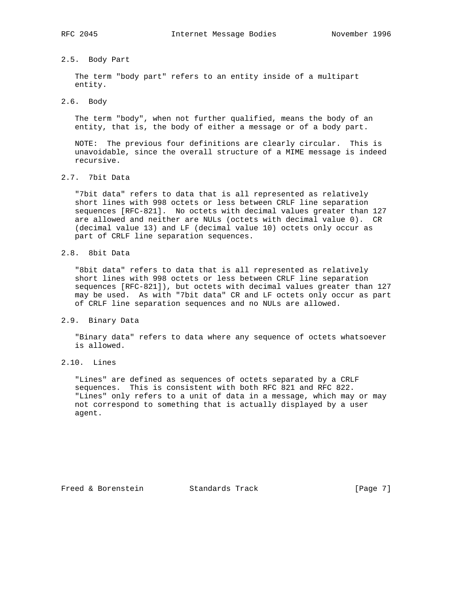## 2.5. Body Part

 The term "body part" refers to an entity inside of a multipart entity.

## 2.6. Body

 The term "body", when not further qualified, means the body of an entity, that is, the body of either a message or of a body part.

 NOTE: The previous four definitions are clearly circular. This is unavoidable, since the overall structure of a MIME message is indeed recursive.

# 2.7. 7bit Data

 "7bit data" refers to data that is all represented as relatively short lines with 998 octets or less between CRLF line separation sequences [RFC-821]. No octets with decimal values greater than 127 are allowed and neither are NULs (octets with decimal value 0). CR (decimal value 13) and LF (decimal value 10) octets only occur as part of CRLF line separation sequences.

## 2.8. 8bit Data

 "8bit data" refers to data that is all represented as relatively short lines with 998 octets or less between CRLF line separation sequences [RFC-821]), but octets with decimal values greater than 127 may be used. As with "7bit data" CR and LF octets only occur as part of CRLF line separation sequences and no NULs are allowed.

#### 2.9. Binary Data

 "Binary data" refers to data where any sequence of octets whatsoever is allowed.

# 2.10. Lines

 "Lines" are defined as sequences of octets separated by a CRLF sequences. This is consistent with both RFC 821 and RFC 822. "Lines" only refers to a unit of data in a message, which may or may not correspond to something that is actually displayed by a user agent.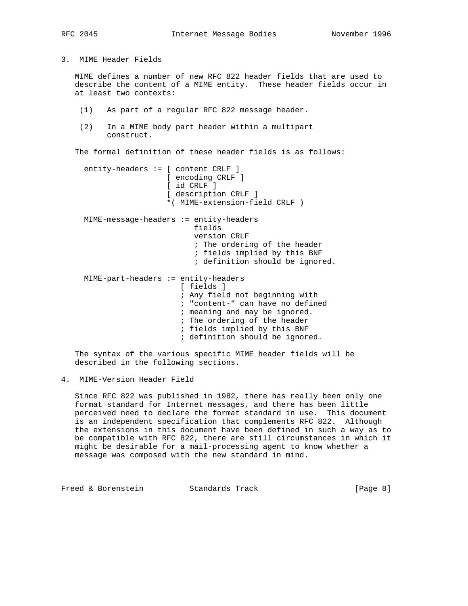3. MIME Header Fields

 MIME defines a number of new RFC 822 header fields that are used to describe the content of a MIME entity. These header fields occur in at least two contexts:

- (1) As part of a regular RFC 822 message header.
- (2) In a MIME body part header within a multipart construct.

The formal definition of these header fields is as follows:

 entity-headers := [ content CRLF ] [ encoding CRLF ] [ id CRLF ] [ description CRLF ] \*( MIME-extension-field CRLF ) MIME-message-headers := entity-headers fields version CRLF ; The ordering of the header ; fields implied by this BNF ; definition should be ignored. MIME-part-headers := entity-headers [ fields ] ; Any field not beginning with ; "content-" can have no defined ; meaning and may be ignored. ; The ordering of the header ; fields implied by this BNF ; definition should be ignored.

 The syntax of the various specific MIME header fields will be described in the following sections.

4. MIME-Version Header Field

 Since RFC 822 was published in 1982, there has really been only one format standard for Internet messages, and there has been little perceived need to declare the format standard in use. This document is an independent specification that complements RFC 822. Although the extensions in this document have been defined in such a way as to be compatible with RFC 822, there are still circumstances in which it might be desirable for a mail-processing agent to know whether a message was composed with the new standard in mind.

Freed & Borenstein Standards Track [Page 8]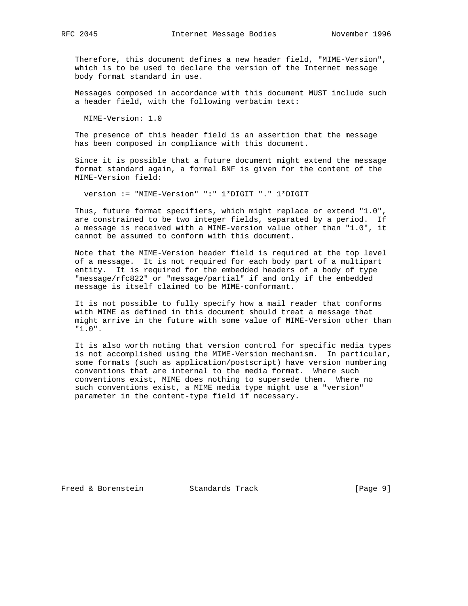Therefore, this document defines a new header field, "MIME-Version", which is to be used to declare the version of the Internet message body format standard in use.

 Messages composed in accordance with this document MUST include such a header field, with the following verbatim text:

MIME-Version: 1.0

 The presence of this header field is an assertion that the message has been composed in compliance with this document.

 Since it is possible that a future document might extend the message format standard again, a formal BNF is given for the content of the MIME-Version field:

version := "MIME-Version" ":" 1\*DIGIT "." 1\*DIGIT

 Thus, future format specifiers, which might replace or extend "1.0", are constrained to be two integer fields, separated by a period. If a message is received with a MIME-version value other than "1.0", it cannot be assumed to conform with this document.

 Note that the MIME-Version header field is required at the top level of a message. It is not required for each body part of a multipart entity. It is required for the embedded headers of a body of type "message/rfc822" or "message/partial" if and only if the embedded message is itself claimed to be MIME-conformant.

 It is not possible to fully specify how a mail reader that conforms with MIME as defined in this document should treat a message that might arrive in the future with some value of MIME-Version other than "1.0".

 It is also worth noting that version control for specific media types is not accomplished using the MIME-Version mechanism. In particular, some formats (such as application/postscript) have version numbering conventions that are internal to the media format. Where such conventions exist, MIME does nothing to supersede them. Where no such conventions exist, a MIME media type might use a "version" parameter in the content-type field if necessary.

Freed & Borenstein Standards Track [Page 9]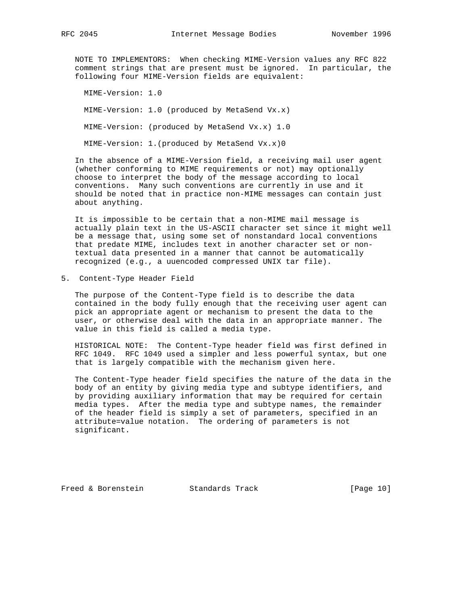NOTE TO IMPLEMENTORS: When checking MIME-Version values any RFC 822 comment strings that are present must be ignored. In particular, the following four MIME-Version fields are equivalent:

 MIME-Version: 1.0 MIME-Version: 1.0 (produced by MetaSend Vx.x) MIME-Version: (produced by MetaSend Vx.x) 1.0 MIME-Version: 1.(produced by MetaSend Vx.x)0

 In the absence of a MIME-Version field, a receiving mail user agent (whether conforming to MIME requirements or not) may optionally choose to interpret the body of the message according to local conventions. Many such conventions are currently in use and it should be noted that in practice non-MIME messages can contain just about anything.

 It is impossible to be certain that a non-MIME mail message is actually plain text in the US-ASCII character set since it might well be a message that, using some set of nonstandard local conventions that predate MIME, includes text in another character set or non textual data presented in a manner that cannot be automatically recognized (e.g., a uuencoded compressed UNIX tar file).

5. Content-Type Header Field

 The purpose of the Content-Type field is to describe the data contained in the body fully enough that the receiving user agent can pick an appropriate agent or mechanism to present the data to the user, or otherwise deal with the data in an appropriate manner. The value in this field is called a media type.

 HISTORICAL NOTE: The Content-Type header field was first defined in RFC 1049. RFC 1049 used a simpler and less powerful syntax, but one that is largely compatible with the mechanism given here.

 The Content-Type header field specifies the nature of the data in the body of an entity by giving media type and subtype identifiers, and by providing auxiliary information that may be required for certain media types. After the media type and subtype names, the remainder of the header field is simply a set of parameters, specified in an attribute=value notation. The ordering of parameters is not significant.

Freed & Borenstein Standards Track [Page 10]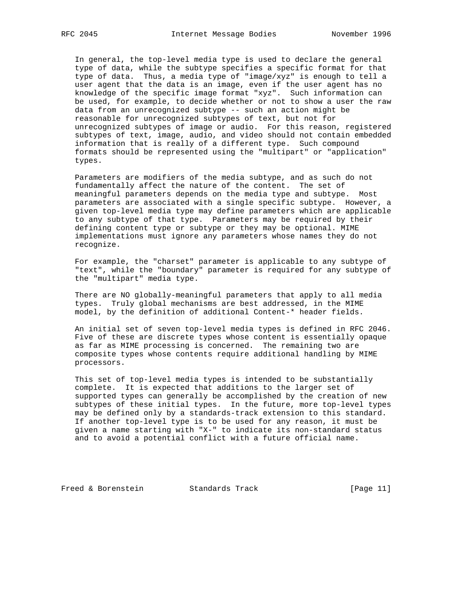In general, the top-level media type is used to declare the general type of data, while the subtype specifies a specific format for that type of data. Thus, a media type of "image/xyz" is enough to tell a user agent that the data is an image, even if the user agent has no knowledge of the specific image format "xyz". Such information can be used, for example, to decide whether or not to show a user the raw data from an unrecognized subtype -- such an action might be reasonable for unrecognized subtypes of text, but not for unrecognized subtypes of image or audio. For this reason, registered subtypes of text, image, audio, and video should not contain embedded information that is really of a different type. Such compound formats should be represented using the "multipart" or "application" types.

 Parameters are modifiers of the media subtype, and as such do not fundamentally affect the nature of the content. The set of meaningful parameters depends on the media type and subtype. Most parameters are associated with a single specific subtype. However, a given top-level media type may define parameters which are applicable to any subtype of that type. Parameters may be required by their defining content type or subtype or they may be optional. MIME implementations must ignore any parameters whose names they do not recognize.

 For example, the "charset" parameter is applicable to any subtype of "text", while the "boundary" parameter is required for any subtype of the "multipart" media type.

 There are NO globally-meaningful parameters that apply to all media types. Truly global mechanisms are best addressed, in the MIME model, by the definition of additional Content-\* header fields.

 An initial set of seven top-level media types is defined in RFC 2046. Five of these are discrete types whose content is essentially opaque as far as MIME processing is concerned. The remaining two are composite types whose contents require additional handling by MIME processors.

 This set of top-level media types is intended to be substantially complete. It is expected that additions to the larger set of supported types can generally be accomplished by the creation of new subtypes of these initial types. In the future, more top-level types may be defined only by a standards-track extension to this standard. If another top-level type is to be used for any reason, it must be given a name starting with "X-" to indicate its non-standard status and to avoid a potential conflict with a future official name.

Freed & Borenstein Standards Track [Page 11]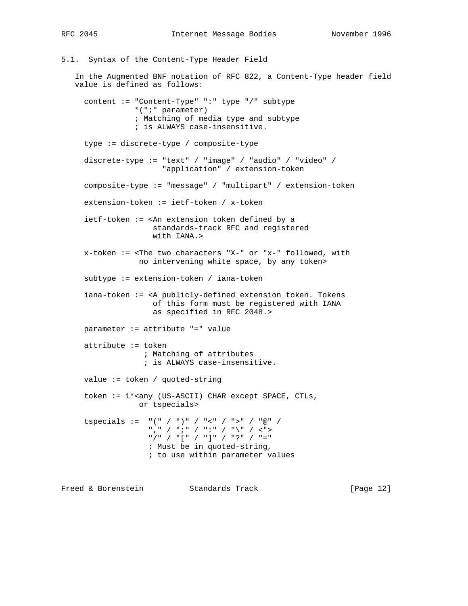5.1. Syntax of the Content-Type Header Field In the Augmented BNF notation of RFC 822, a Content-Type header field value is defined as follows: content := "Content-Type" ":" type "/" subtype \*(";" parameter) ; Matching of media type and subtype ; is ALWAYS case-insensitive. type := discrete-type / composite-type discrete-type := "text" / "image" / "audio" / "video" / "application" / extension-token composite-type := "message" / "multipart" / extension-token extension-token := ietf-token / x-token ietf-token := <An extension token defined by a standards-track RFC and registered with IANA.> x-token := <The two characters "X-" or "x-" followed, with no intervening white space, by any token> subtype := extension-token / iana-token iana-token := <A publicly-defined extension token. Tokens of this form must be registered with IANA as specified in RFC 2048.> parameter := attribute "=" value attribute := token ; Matching of attributes ; is ALWAYS case-insensitive. value := token / quoted-string token := 1\*<any (US-ASCII) CHAR except SPACE, CTLs, or tspecials> tspecials :=  $"(" / ")" / " < " / " >" / "@" /$  "," / ";" / ":" / "\" / <"> "/" / "[" / "]" / "?" / "=" ; Must be in quoted-string, ; to use within parameter values

Freed & Borenstein Standards Track [Page 12]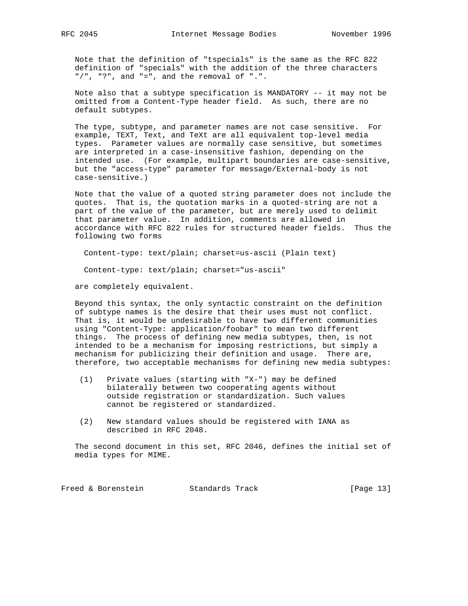Note that the definition of "tspecials" is the same as the RFC 822 definition of "specials" with the addition of the three characters "/", "?", and "=", and the removal of ".".

 Note also that a subtype specification is MANDATORY -- it may not be omitted from a Content-Type header field. As such, there are no default subtypes.

 The type, subtype, and parameter names are not case sensitive. For example, TEXT, Text, and TeXt are all equivalent top-level media types. Parameter values are normally case sensitive, but sometimes are interpreted in a case-insensitive fashion, depending on the intended use. (For example, multipart boundaries are case-sensitive, but the "access-type" parameter for message/External-body is not case-sensitive.)

 Note that the value of a quoted string parameter does not include the quotes. That is, the quotation marks in a quoted-string are not a part of the value of the parameter, but are merely used to delimit that parameter value. In addition, comments are allowed in accordance with RFC 822 rules for structured header fields. Thus the following two forms

Content-type: text/plain; charset=us-ascii (Plain text)

Content-type: text/plain; charset="us-ascii"

are completely equivalent.

 Beyond this syntax, the only syntactic constraint on the definition of subtype names is the desire that their uses must not conflict. That is, it would be undesirable to have two different communities using "Content-Type: application/foobar" to mean two different things. The process of defining new media subtypes, then, is not intended to be a mechanism for imposing restrictions, but simply a mechanism for publicizing their definition and usage. There are, therefore, two acceptable mechanisms for defining new media subtypes:

- (1) Private values (starting with "X-") may be defined bilaterally between two cooperating agents without outside registration or standardization. Such values cannot be registered or standardized.
- (2) New standard values should be registered with IANA as described in RFC 2048.

 The second document in this set, RFC 2046, defines the initial set of media types for MIME.

Freed & Borenstein Standards Track [Page 13]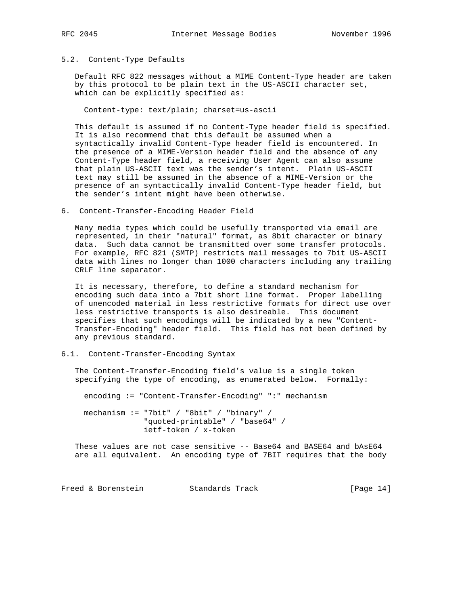#### 5.2. Content-Type Defaults

 Default RFC 822 messages without a MIME Content-Type header are taken by this protocol to be plain text in the US-ASCII character set, which can be explicitly specified as:

Content-type: text/plain; charset=us-ascii

 This default is assumed if no Content-Type header field is specified. It is also recommend that this default be assumed when a syntactically invalid Content-Type header field is encountered. In the presence of a MIME-Version header field and the absence of any Content-Type header field, a receiving User Agent can also assume that plain US-ASCII text was the sender's intent. Plain US-ASCII text may still be assumed in the absence of a MIME-Version or the presence of an syntactically invalid Content-Type header field, but the sender's intent might have been otherwise.

6. Content-Transfer-Encoding Header Field

 Many media types which could be usefully transported via email are represented, in their "natural" format, as 8bit character or binary data. Such data cannot be transmitted over some transfer protocols. For example, RFC 821 (SMTP) restricts mail messages to 7bit US-ASCII data with lines no longer than 1000 characters including any trailing CRLF line separator.

 It is necessary, therefore, to define a standard mechanism for encoding such data into a 7bit short line format. Proper labelling of unencoded material in less restrictive formats for direct use over less restrictive transports is also desireable. This document specifies that such encodings will be indicated by a new "Content- Transfer-Encoding" header field. This field has not been defined by any previous standard.

## 6.1. Content-Transfer-Encoding Syntax

 The Content-Transfer-Encoding field's value is a single token specifying the type of encoding, as enumerated below. Formally:

encoding := "Content-Transfer-Encoding" ":" mechanism

 mechanism := "7bit" / "8bit" / "binary" / "quoted-printable" / "base64" / ietf-token / x-token

 These values are not case sensitive -- Base64 and BASE64 and bAsE64 are all equivalent. An encoding type of 7BIT requires that the body

Freed & Borenstein Standards Track [Page 14]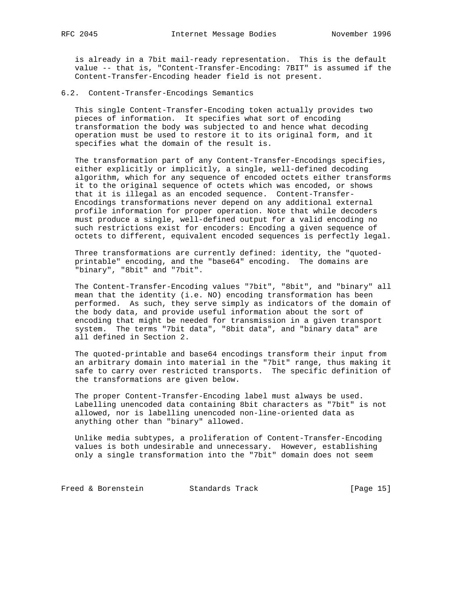is already in a 7bit mail-ready representation. This is the default value -- that is, "Content-Transfer-Encoding: 7BIT" is assumed if the Content-Transfer-Encoding header field is not present.

## 6.2. Content-Transfer-Encodings Semantics

 This single Content-Transfer-Encoding token actually provides two pieces of information. It specifies what sort of encoding transformation the body was subjected to and hence what decoding operation must be used to restore it to its original form, and it specifies what the domain of the result is.

 The transformation part of any Content-Transfer-Encodings specifies, either explicitly or implicitly, a single, well-defined decoding algorithm, which for any sequence of encoded octets either transforms it to the original sequence of octets which was encoded, or shows that it is illegal as an encoded sequence. Content-Transfer- Encodings transformations never depend on any additional external profile information for proper operation. Note that while decoders must produce a single, well-defined output for a valid encoding no such restrictions exist for encoders: Encoding a given sequence of octets to different, equivalent encoded sequences is perfectly legal.

 Three transformations are currently defined: identity, the "quoted printable" encoding, and the "base64" encoding. The domains are "binary", "8bit" and "7bit".

 The Content-Transfer-Encoding values "7bit", "8bit", and "binary" all mean that the identity (i.e. NO) encoding transformation has been performed. As such, they serve simply as indicators of the domain of the body data, and provide useful information about the sort of encoding that might be needed for transmission in a given transport system. The terms "7bit data", "8bit data", and "binary data" are all defined in Section 2.

 The quoted-printable and base64 encodings transform their input from an arbitrary domain into material in the "7bit" range, thus making it safe to carry over restricted transports. The specific definition of the transformations are given below.

 The proper Content-Transfer-Encoding label must always be used. Labelling unencoded data containing 8bit characters as "7bit" is not allowed, nor is labelling unencoded non-line-oriented data as anything other than "binary" allowed.

 Unlike media subtypes, a proliferation of Content-Transfer-Encoding values is both undesirable and unnecessary. However, establishing only a single transformation into the "7bit" domain does not seem

Freed & Borenstein Standards Track [Page 15]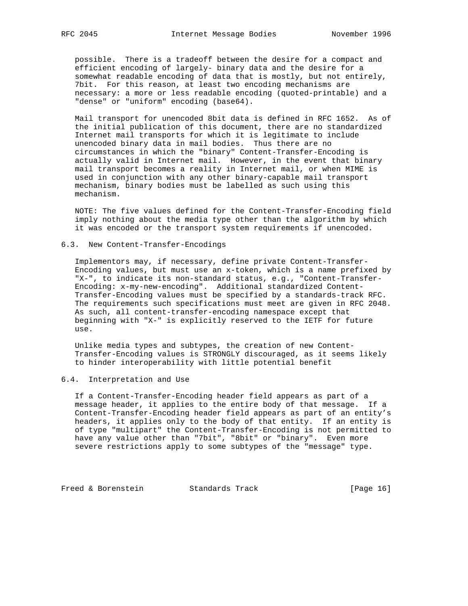possible. There is a tradeoff between the desire for a compact and efficient encoding of largely- binary data and the desire for a somewhat readable encoding of data that is mostly, but not entirely, 7bit. For this reason, at least two encoding mechanisms are necessary: a more or less readable encoding (quoted-printable) and a "dense" or "uniform" encoding (base64).

 Mail transport for unencoded 8bit data is defined in RFC 1652. As of the initial publication of this document, there are no standardized Internet mail transports for which it is legitimate to include unencoded binary data in mail bodies. Thus there are no circumstances in which the "binary" Content-Transfer-Encoding is actually valid in Internet mail. However, in the event that binary mail transport becomes a reality in Internet mail, or when MIME is used in conjunction with any other binary-capable mail transport mechanism, binary bodies must be labelled as such using this mechanism.

 NOTE: The five values defined for the Content-Transfer-Encoding field imply nothing about the media type other than the algorithm by which it was encoded or the transport system requirements if unencoded.

#### 6.3. New Content-Transfer-Encodings

 Implementors may, if necessary, define private Content-Transfer- Encoding values, but must use an x-token, which is a name prefixed by "X-", to indicate its non-standard status, e.g., "Content-Transfer- Encoding: x-my-new-encoding". Additional standardized Content- Transfer-Encoding values must be specified by a standards-track RFC. The requirements such specifications must meet are given in RFC 2048. As such, all content-transfer-encoding namespace except that beginning with "X-" is explicitly reserved to the IETF for future use.

 Unlike media types and subtypes, the creation of new Content- Transfer-Encoding values is STRONGLY discouraged, as it seems likely to hinder interoperability with little potential benefit

## 6.4. Interpretation and Use

 If a Content-Transfer-Encoding header field appears as part of a message header, it applies to the entire body of that message. If a Content-Transfer-Encoding header field appears as part of an entity's headers, it applies only to the body of that entity. If an entity is of type "multipart" the Content-Transfer-Encoding is not permitted to have any value other than "7bit", "8bit" or "binary". Even more severe restrictions apply to some subtypes of the "message" type.

Freed & Borenstein Standards Track [Page 16]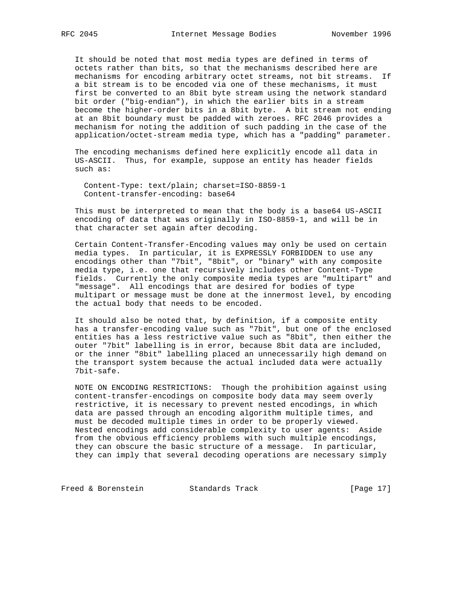It should be noted that most media types are defined in terms of octets rather than bits, so that the mechanisms described here are mechanisms for encoding arbitrary octet streams, not bit streams. If a bit stream is to be encoded via one of these mechanisms, it must first be converted to an 8bit byte stream using the network standard bit order ("big-endian"), in which the earlier bits in a stream become the higher-order bits in a 8bit byte. A bit stream not ending at an 8bit boundary must be padded with zeroes. RFC 2046 provides a mechanism for noting the addition of such padding in the case of the application/octet-stream media type, which has a "padding" parameter.

 The encoding mechanisms defined here explicitly encode all data in US-ASCII. Thus, for example, suppose an entity has header fields such as:

 Content-Type: text/plain; charset=ISO-8859-1 Content-transfer-encoding: base64

 This must be interpreted to mean that the body is a base64 US-ASCII encoding of data that was originally in ISO-8859-1, and will be in that character set again after decoding.

 Certain Content-Transfer-Encoding values may only be used on certain media types. In particular, it is EXPRESSLY FORBIDDEN to use any encodings other than "7bit", "8bit", or "binary" with any composite media type, i.e. one that recursively includes other Content-Type fields. Currently the only composite media types are "multipart" and "message". All encodings that are desired for bodies of type multipart or message must be done at the innermost level, by encoding the actual body that needs to be encoded.

 It should also be noted that, by definition, if a composite entity has a transfer-encoding value such as "7bit", but one of the enclosed entities has a less restrictive value such as "8bit", then either the outer "7bit" labelling is in error, because 8bit data are included, or the inner "8bit" labelling placed an unnecessarily high demand on the transport system because the actual included data were actually 7bit-safe.

 NOTE ON ENCODING RESTRICTIONS: Though the prohibition against using content-transfer-encodings on composite body data may seem overly restrictive, it is necessary to prevent nested encodings, in which data are passed through an encoding algorithm multiple times, and must be decoded multiple times in order to be properly viewed. Nested encodings add considerable complexity to user agents: Aside from the obvious efficiency problems with such multiple encodings, they can obscure the basic structure of a message. In particular, they can imply that several decoding operations are necessary simply

Freed & Borenstein Standards Track [Page 17]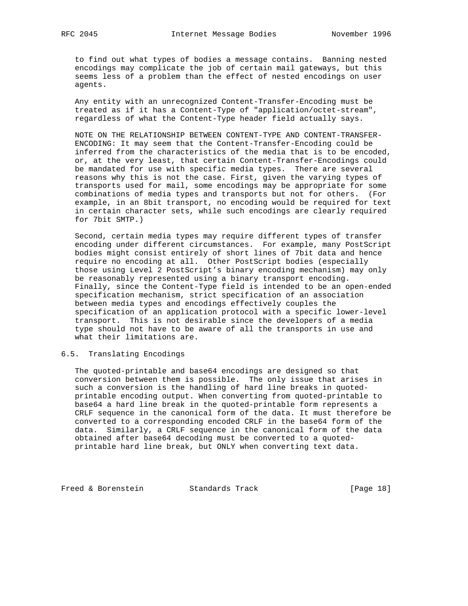to find out what types of bodies a message contains. Banning nested encodings may complicate the job of certain mail gateways, but this seems less of a problem than the effect of nested encodings on user agents.

 Any entity with an unrecognized Content-Transfer-Encoding must be treated as if it has a Content-Type of "application/octet-stream", regardless of what the Content-Type header field actually says.

 NOTE ON THE RELATIONSHIP BETWEEN CONTENT-TYPE AND CONTENT-TRANSFER- ENCODING: It may seem that the Content-Transfer-Encoding could be inferred from the characteristics of the media that is to be encoded, or, at the very least, that certain Content-Transfer-Encodings could be mandated for use with specific media types. There are several reasons why this is not the case. First, given the varying types of transports used for mail, some encodings may be appropriate for some combinations of media types and transports but not for others. (For example, in an 8bit transport, no encoding would be required for text in certain character sets, while such encodings are clearly required for 7bit SMTP.)

 Second, certain media types may require different types of transfer encoding under different circumstances. For example, many PostScript bodies might consist entirely of short lines of 7bit data and hence require no encoding at all. Other PostScript bodies (especially those using Level 2 PostScript's binary encoding mechanism) may only be reasonably represented using a binary transport encoding. Finally, since the Content-Type field is intended to be an open-ended specification mechanism, strict specification of an association between media types and encodings effectively couples the specification of an application protocol with a specific lower-level transport. This is not desirable since the developers of a media type should not have to be aware of all the transports in use and what their limitations are.

#### 6.5. Translating Encodings

 The quoted-printable and base64 encodings are designed so that conversion between them is possible. The only issue that arises in such a conversion is the handling of hard line breaks in quoted printable encoding output. When converting from quoted-printable to base64 a hard line break in the quoted-printable form represents a CRLF sequence in the canonical form of the data. It must therefore be converted to a corresponding encoded CRLF in the base64 form of the data. Similarly, a CRLF sequence in the canonical form of the data obtained after base64 decoding must be converted to a quoted printable hard line break, but ONLY when converting text data.

Freed & Borenstein Standards Track [Page 18]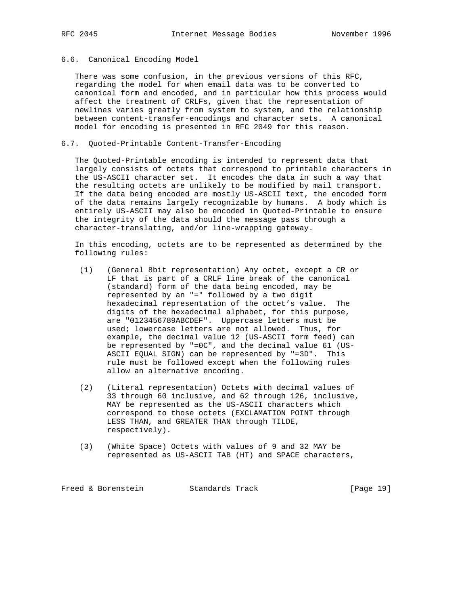# 6.6. Canonical Encoding Model

 There was some confusion, in the previous versions of this RFC, regarding the model for when email data was to be converted to canonical form and encoded, and in particular how this process would affect the treatment of CRLFs, given that the representation of newlines varies greatly from system to system, and the relationship between content-transfer-encodings and character sets. A canonical model for encoding is presented in RFC 2049 for this reason.

## 6.7. Quoted-Printable Content-Transfer-Encoding

 The Quoted-Printable encoding is intended to represent data that largely consists of octets that correspond to printable characters in the US-ASCII character set. It encodes the data in such a way that the resulting octets are unlikely to be modified by mail transport. If the data being encoded are mostly US-ASCII text, the encoded form of the data remains largely recognizable by humans. A body which is entirely US-ASCII may also be encoded in Quoted-Printable to ensure the integrity of the data should the message pass through a character-translating, and/or line-wrapping gateway.

 In this encoding, octets are to be represented as determined by the following rules:

- (1) (General 8bit representation) Any octet, except a CR or LF that is part of a CRLF line break of the canonical (standard) form of the data being encoded, may be represented by an "=" followed by a two digit hexadecimal representation of the octet's value. The digits of the hexadecimal alphabet, for this purpose, are "0123456789ABCDEF". Uppercase letters must be used; lowercase letters are not allowed. Thus, for example, the decimal value 12 (US-ASCII form feed) can be represented by "=0C", and the decimal value 61 (US- ASCII EQUAL SIGN) can be represented by "=3D". This rule must be followed except when the following rules allow an alternative encoding.
- (2) (Literal representation) Octets with decimal values of 33 through 60 inclusive, and 62 through 126, inclusive, MAY be represented as the US-ASCII characters which correspond to those octets (EXCLAMATION POINT through LESS THAN, and GREATER THAN through TILDE, respectively).
- (3) (White Space) Octets with values of 9 and 32 MAY be represented as US-ASCII TAB (HT) and SPACE characters,

Freed & Borenstein Standards Track [Page 19]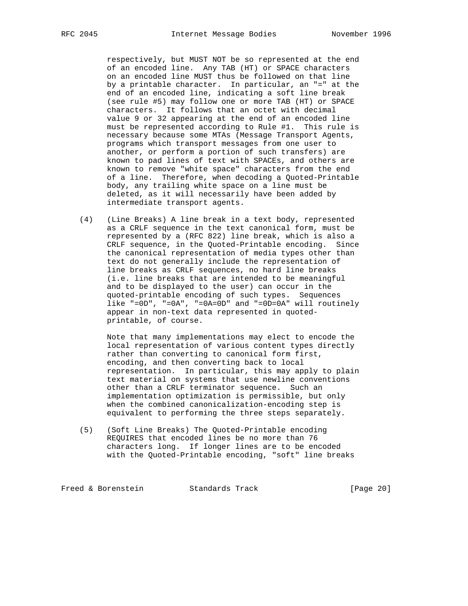respectively, but MUST NOT be so represented at the end of an encoded line. Any TAB (HT) or SPACE characters on an encoded line MUST thus be followed on that line by a printable character. In particular, an "=" at the end of an encoded line, indicating a soft line break (see rule #5) may follow one or more TAB (HT) or SPACE characters. It follows that an octet with decimal value 9 or 32 appearing at the end of an encoded line must be represented according to Rule #1. This rule is necessary because some MTAs (Message Transport Agents, programs which transport messages from one user to another, or perform a portion of such transfers) are known to pad lines of text with SPACEs, and others are known to remove "white space" characters from the end of a line. Therefore, when decoding a Quoted-Printable body, any trailing white space on a line must be deleted, as it will necessarily have been added by intermediate transport agents.

 (4) (Line Breaks) A line break in a text body, represented as a CRLF sequence in the text canonical form, must be represented by a (RFC 822) line break, which is also a CRLF sequence, in the Quoted-Printable encoding. Since the canonical representation of media types other than text do not generally include the representation of line breaks as CRLF sequences, no hard line breaks (i.e. line breaks that are intended to be meaningful and to be displayed to the user) can occur in the quoted-printable encoding of such types. Sequences like "=0D", "=0A", "=0A=0D" and "=0D=0A" will routinely appear in non-text data represented in quoted printable, of course.

 Note that many implementations may elect to encode the local representation of various content types directly rather than converting to canonical form first, encoding, and then converting back to local representation. In particular, this may apply to plain text material on systems that use newline conventions other than a CRLF terminator sequence. Such an implementation optimization is permissible, but only when the combined canonicalization-encoding step is equivalent to performing the three steps separately.

 (5) (Soft Line Breaks) The Quoted-Printable encoding REQUIRES that encoded lines be no more than 76 characters long. If longer lines are to be encoded with the Quoted-Printable encoding, "soft" line breaks

Freed & Borenstein Standards Track [Page 20]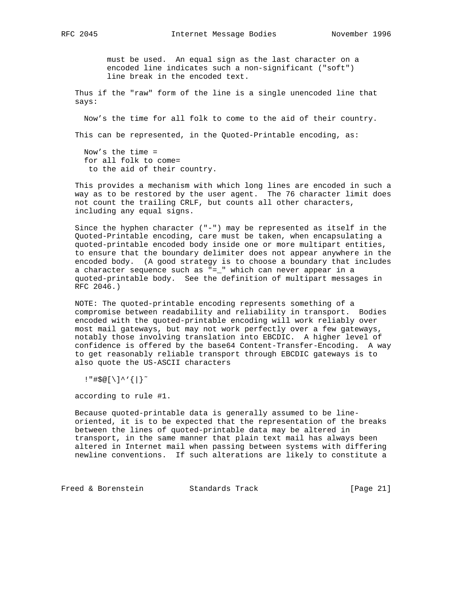must be used. An equal sign as the last character on a encoded line indicates such a non-significant ("soft") line break in the encoded text.

 Thus if the "raw" form of the line is a single unencoded line that says:

Now's the time for all folk to come to the aid of their country.

This can be represented, in the Quoted-Printable encoding, as:

 Now's the time = for all folk to come= to the aid of their country.

 This provides a mechanism with which long lines are encoded in such a way as to be restored by the user agent. The 76 character limit does not count the trailing CRLF, but counts all other characters, including any equal signs.

 Since the hyphen character ("-") may be represented as itself in the Quoted-Printable encoding, care must be taken, when encapsulating a quoted-printable encoded body inside one or more multipart entities, to ensure that the boundary delimiter does not appear anywhere in the encoded body. (A good strategy is to choose a boundary that includes a character sequence such as "=\_" which can never appear in a quoted-printable body. See the definition of multipart messages in RFC 2046.)

 NOTE: The quoted-printable encoding represents something of a compromise between readability and reliability in transport. Bodies encoded with the quoted-printable encoding will work reliably over most mail gateways, but may not work perfectly over a few gateways, notably those involving translation into EBCDIC. A higher level of confidence is offered by the base64 Content-Transfer-Encoding. A way to get reasonably reliable transport through EBCDIC gateways is to also quote the US-ASCII characters

!"#\$@[\]^'{|}˜

according to rule #1.

 Because quoted-printable data is generally assumed to be line oriented, it is to be expected that the representation of the breaks between the lines of quoted-printable data may be altered in transport, in the same manner that plain text mail has always been altered in Internet mail when passing between systems with differing newline conventions. If such alterations are likely to constitute a

Freed & Borenstein Standards Track [Page 21]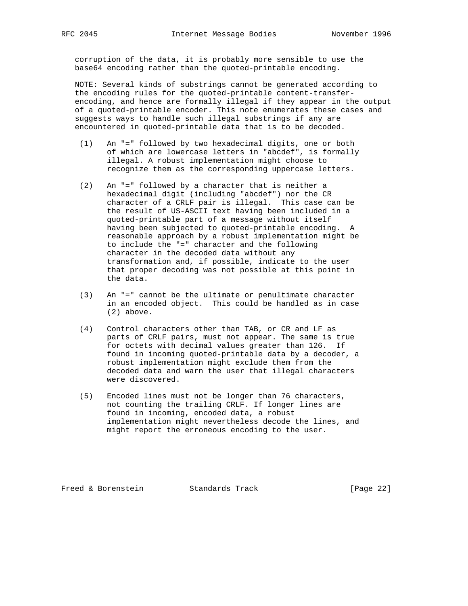corruption of the data, it is probably more sensible to use the base64 encoding rather than the quoted-printable encoding.

 NOTE: Several kinds of substrings cannot be generated according to the encoding rules for the quoted-printable content-transfer encoding, and hence are formally illegal if they appear in the output of a quoted-printable encoder. This note enumerates these cases and suggests ways to handle such illegal substrings if any are encountered in quoted-printable data that is to be decoded.

- (1) An "=" followed by two hexadecimal digits, one or both of which are lowercase letters in "abcdef", is formally illegal. A robust implementation might choose to recognize them as the corresponding uppercase letters.
- (2) An "=" followed by a character that is neither a hexadecimal digit (including "abcdef") nor the CR character of a CRLF pair is illegal. This case can be the result of US-ASCII text having been included in a quoted-printable part of a message without itself having been subjected to quoted-printable encoding. A reasonable approach by a robust implementation might be to include the "=" character and the following character in the decoded data without any transformation and, if possible, indicate to the user that proper decoding was not possible at this point in the data.
- (3) An "=" cannot be the ultimate or penultimate character in an encoded object. This could be handled as in case (2) above.
- (4) Control characters other than TAB, or CR and LF as parts of CRLF pairs, must not appear. The same is true for octets with decimal values greater than 126. If found in incoming quoted-printable data by a decoder, a robust implementation might exclude them from the decoded data and warn the user that illegal characters were discovered.
- (5) Encoded lines must not be longer than 76 characters, not counting the trailing CRLF. If longer lines are found in incoming, encoded data, a robust implementation might nevertheless decode the lines, and might report the erroneous encoding to the user.

Freed & Borenstein Standards Track [Page 22]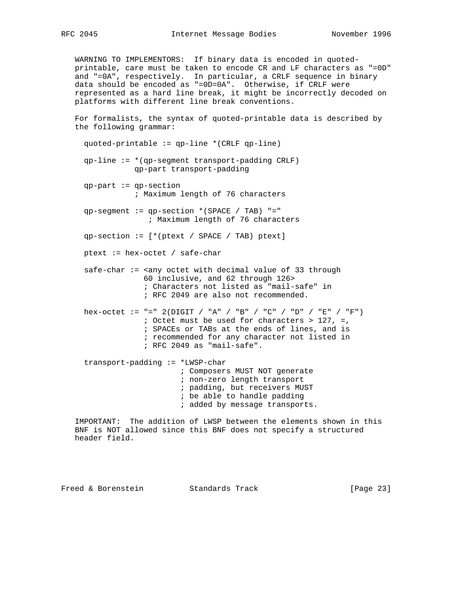WARNING TO IMPLEMENTORS: If binary data is encoded in quoted printable, care must be taken to encode CR and LF characters as "=0D" and "=0A", respectively. In particular, a CRLF sequence in binary data should be encoded as "=0D=0A". Otherwise, if CRLF were represented as a hard line break, it might be incorrectly decoded on platforms with different line break conventions.

 For formalists, the syntax of quoted-printable data is described by the following grammar:

 quoted-printable := qp-line \*(CRLF qp-line) qp-line := \*(qp-segment transport-padding CRLF) qp-part transport-padding qp-part := qp-section ; Maximum length of 76 characters qp-segment := qp-section \*(SPACE / TAB) "=" ; Maximum length of 76 characters qp-section := [\*(ptext / SPACE / TAB) ptext] ptext := hex-octet / safe-char  $safe-char := \langle \text{any octet with decimal value of 33 through} \rangle$  60 inclusive, and 62 through 126> ; Characters not listed as "mail-safe" in ; RFC 2049 are also not recommended. hex-octet := "=" 2(DIGIT / "A" / "B" / "C" / "D" / "E" / "F") ; Octet must be used for characters > 127, =, ; SPACEs or TABs at the ends of lines, and is ; recommended for any character not listed in ; RFC 2049 as "mail-safe". transport-padding := \*LWSP-char ; Composers MUST NOT generate ; non-zero length transport ; padding, but receivers MUST ; be able to handle padding ; added by message transports.

 IMPORTANT: The addition of LWSP between the elements shown in this BNF is NOT allowed since this BNF does not specify a structured header field.

Freed & Borenstein Standards Track [Page 23]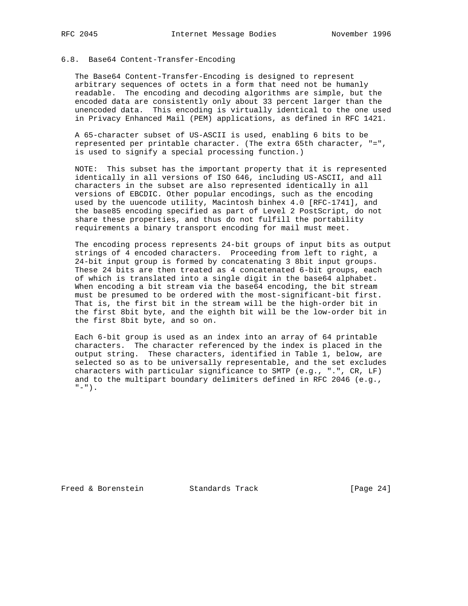### 6.8. Base64 Content-Transfer-Encoding

 The Base64 Content-Transfer-Encoding is designed to represent arbitrary sequences of octets in a form that need not be humanly readable. The encoding and decoding algorithms are simple, but the encoded data are consistently only about 33 percent larger than the unencoded data. This encoding is virtually identical to the one used in Privacy Enhanced Mail (PEM) applications, as defined in RFC 1421.

 A 65-character subset of US-ASCII is used, enabling 6 bits to be represented per printable character. (The extra 65th character, "=", is used to signify a special processing function.)

 NOTE: This subset has the important property that it is represented identically in all versions of ISO 646, including US-ASCII, and all characters in the subset are also represented identically in all versions of EBCDIC. Other popular encodings, such as the encoding used by the uuencode utility, Macintosh binhex 4.0 [RFC-1741], and the base85 encoding specified as part of Level 2 PostScript, do not share these properties, and thus do not fulfill the portability requirements a binary transport encoding for mail must meet.

 The encoding process represents 24-bit groups of input bits as output strings of 4 encoded characters. Proceeding from left to right, a 24-bit input group is formed by concatenating 3 8bit input groups. These 24 bits are then treated as 4 concatenated 6-bit groups, each of which is translated into a single digit in the base64 alphabet. When encoding a bit stream via the base64 encoding, the bit stream must be presumed to be ordered with the most-significant-bit first. That is, the first bit in the stream will be the high-order bit in the first 8bit byte, and the eighth bit will be the low-order bit in the first 8bit byte, and so on.

 Each 6-bit group is used as an index into an array of 64 printable characters. The character referenced by the index is placed in the output string. These characters, identified in Table 1, below, are selected so as to be universally representable, and the set excludes characters with particular significance to SMTP (e.g., ".", CR, LF) and to the multipart boundary delimiters defined in RFC 2046 (e.g.,  $" - " )$ .

Freed & Borenstein Standards Track [Page 24]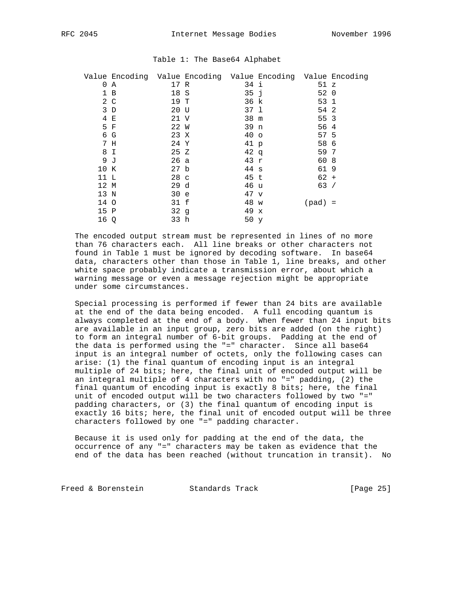|      | Value Encoding Value Encoding Value Encoding Value Encoding |                 |                 |           |  |
|------|-------------------------------------------------------------|-----------------|-----------------|-----------|--|
|      | 0 A                                                         | 17 R            | 34 i            | 51 z      |  |
|      | 1 B                                                         | 18 S            | 35j             | 52 0      |  |
|      | $2\degree$ C                                                | 19 T            | 36 k            | 53 1      |  |
|      | 3D                                                          | 20 U            | 37 1            | 54 2      |  |
|      | 4 E                                                         | 21 V            | 38 m            | 55 3      |  |
|      | 5 F                                                         | 22 W            | 39 n            | 56 4      |  |
|      | 6 G                                                         | 23 X            | 40 <sub>o</sub> | 57 5      |  |
|      | 7 H                                                         | 24 Y            | 41 p            | 58 6      |  |
|      | 8 I                                                         | 25Z             | $42 \sigma$     | 59 7      |  |
|      | 9 <sub>o</sub>                                              | 26 a            | 43r             | 60 8      |  |
| 10 K |                                                             | 27 <sub>b</sub> | 44 s            | 619       |  |
| 11 L |                                                             | 28 <sub>c</sub> | 45 t            | $62 +$    |  |
| 12 M |                                                             | 29d             | 46 u            | 63/       |  |
| 13 N |                                                             | 30 e            | 47 v            |           |  |
| 14 O |                                                             | 31 f            | 48 w            | $(pad) =$ |  |
| 15 P |                                                             | 32g             | 49 x            |           |  |
| 16 Q |                                                             | 33 h            | 50 y            |           |  |
|      |                                                             |                 |                 |           |  |

#### Table 1: The Base64 Alphabet

 The encoded output stream must be represented in lines of no more than 76 characters each. All line breaks or other characters not found in Table 1 must be ignored by decoding software. In base64 data, characters other than those in Table 1, line breaks, and other white space probably indicate a transmission error, about which a warning message or even a message rejection might be appropriate under some circumstances.

 Special processing is performed if fewer than 24 bits are available at the end of the data being encoded. A full encoding quantum is always completed at the end of a body. When fewer than 24 input bits are available in an input group, zero bits are added (on the right) to form an integral number of 6-bit groups. Padding at the end of the data is performed using the "=" character. Since all base64 input is an integral number of octets, only the following cases can arise: (1) the final quantum of encoding input is an integral multiple of 24 bits; here, the final unit of encoded output will be an integral multiple of 4 characters with no "=" padding, (2) the final quantum of encoding input is exactly 8 bits; here, the final unit of encoded output will be two characters followed by two "=" padding characters, or (3) the final quantum of encoding input is exactly 16 bits; here, the final unit of encoded output will be three characters followed by one "=" padding character.

 Because it is used only for padding at the end of the data, the occurrence of any "=" characters may be taken as evidence that the end of the data has been reached (without truncation in transit). No

Freed & Borenstein Standards Track [Page 25]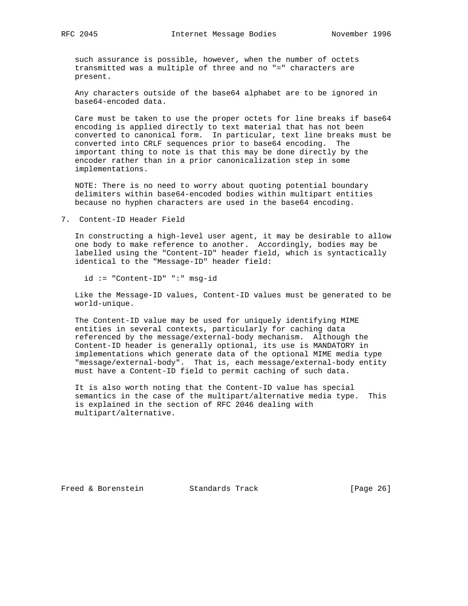such assurance is possible, however, when the number of octets transmitted was a multiple of three and no "=" characters are present.

 Any characters outside of the base64 alphabet are to be ignored in base64-encoded data.

 Care must be taken to use the proper octets for line breaks if base64 encoding is applied directly to text material that has not been converted to canonical form. In particular, text line breaks must be converted into CRLF sequences prior to base64 encoding. The important thing to note is that this may be done directly by the encoder rather than in a prior canonicalization step in some implementations.

 NOTE: There is no need to worry about quoting potential boundary delimiters within base64-encoded bodies within multipart entities because no hyphen characters are used in the base64 encoding.

7. Content-ID Header Field

 In constructing a high-level user agent, it may be desirable to allow one body to make reference to another. Accordingly, bodies may be labelled using the "Content-ID" header field, which is syntactically identical to the "Message-ID" header field:

id := "Content-ID" ":" msg-id

 Like the Message-ID values, Content-ID values must be generated to be world-unique.

 The Content-ID value may be used for uniquely identifying MIME entities in several contexts, particularly for caching data referenced by the message/external-body mechanism. Although the Content-ID header is generally optional, its use is MANDATORY in implementations which generate data of the optional MIME media type "message/external-body". That is, each message/external-body entity must have a Content-ID field to permit caching of such data.

 It is also worth noting that the Content-ID value has special semantics in the case of the multipart/alternative media type. This is explained in the section of RFC 2046 dealing with multipart/alternative.

Freed & Borenstein Standards Track [Page 26]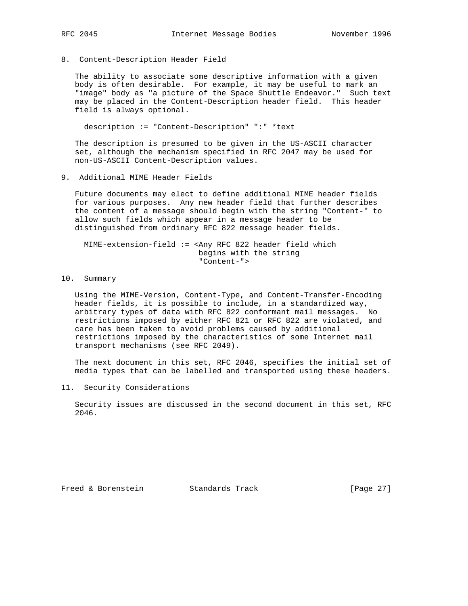8. Content-Description Header Field

 The ability to associate some descriptive information with a given body is often desirable. For example, it may be useful to mark an "image" body as "a picture of the Space Shuttle Endeavor." Such text may be placed in the Content-Description header field. This header field is always optional.

description := "Content-Description" ":" \*text

 The description is presumed to be given in the US-ASCII character set, although the mechanism specified in RFC 2047 may be used for non-US-ASCII Content-Description values.

9. Additional MIME Header Fields

 Future documents may elect to define additional MIME header fields for various purposes. Any new header field that further describes the content of a message should begin with the string "Content-" to allow such fields which appear in a message header to be distinguished from ordinary RFC 822 message header fields.

 MIME-extension-field := <Any RFC 822 header field which begins with the string "Content-">

10. Summary

 Using the MIME-Version, Content-Type, and Content-Transfer-Encoding header fields, it is possible to include, in a standardized way, arbitrary types of data with RFC 822 conformant mail messages. No restrictions imposed by either RFC 821 or RFC 822 are violated, and care has been taken to avoid problems caused by additional restrictions imposed by the characteristics of some Internet mail transport mechanisms (see RFC 2049).

 The next document in this set, RFC 2046, specifies the initial set of media types that can be labelled and transported using these headers.

11. Security Considerations

 Security issues are discussed in the second document in this set, RFC 2046.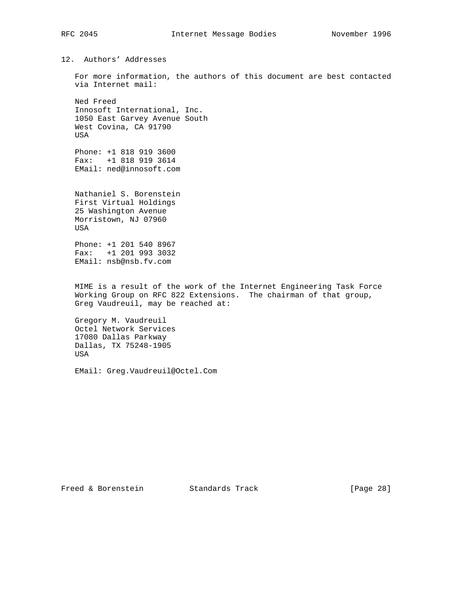12. Authors' Addresses

 For more information, the authors of this document are best contacted via Internet mail:

 Ned Freed Innosoft International, Inc. 1050 East Garvey Avenue South West Covina, CA 91790 USA

 Phone: +1 818 919 3600 Fax: +1 818 919 3614 EMail: ned@innosoft.com

 Nathaniel S. Borenstein First Virtual Holdings 25 Washington Avenue Morristown, NJ 07960 USA

 Phone: +1 201 540 8967 Fax: +1 201 993 3032 EMail: nsb@nsb.fv.com

 MIME is a result of the work of the Internet Engineering Task Force Working Group on RFC 822 Extensions. The chairman of that group, Greg Vaudreuil, may be reached at:

 Gregory M. Vaudreuil Octel Network Services 17080 Dallas Parkway Dallas, TX 75248-1905 USA

EMail: Greg.Vaudreuil@Octel.Com

Freed & Borenstein Standards Track [Page 28]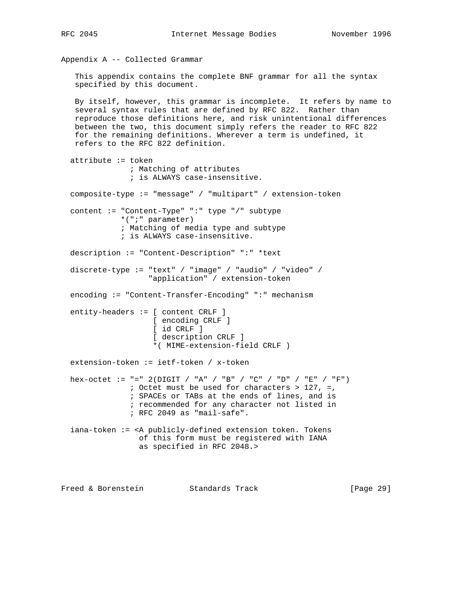```
Appendix A -- Collected Grammar
   This appendix contains the complete BNF grammar for all the syntax
   specified by this document.
  By itself, however, this grammar is incomplete. It refers by name to
   several syntax rules that are defined by RFC 822. Rather than
  reproduce those definitions here, and risk unintentional differences
  between the two, this document simply refers the reader to RFC 822
  for the remaining definitions. Wherever a term is undefined, it
  refers to the RFC 822 definition.
  attribute := token
               ; Matching of attributes
               ; is ALWAYS case-insensitive.
  composite-type := "message" / "multipart" / extension-token
  content := "Content-Type" ":" type "/" subtype
             *(";" parameter)
             ; Matching of media type and subtype
             ; is ALWAYS case-insensitive.
  description := "Content-Description" ":" *text
  discrete-type := "text" / "image" / "audio" / "video" /
                   "application" / extension-token
  encoding := "Content-Transfer-Encoding" ":" mechanism
  entity-headers := [ content CRLF ]
                    [ encoding CRLF ]
                    [ id CRLF ]
                    [ description CRLF ]
                    *( MIME-extension-field CRLF )
  extension-token := ietf-token / x-token
hex-octet := "=" 2(DIGIT / "A" / "B" / "C" / "D" / "E" / "F")
               ; Octet must be used for characters > 127, =,
               ; SPACEs or TABs at the ends of lines, and is
               ; recommended for any character not listed in
               ; RFC 2049 as "mail-safe".
  iana-token := <A publicly-defined extension token. Tokens
                of this form must be registered with IANA
                 as specified in RFC 2048.>
```
Freed & Borenstein Standards Track [Page 29]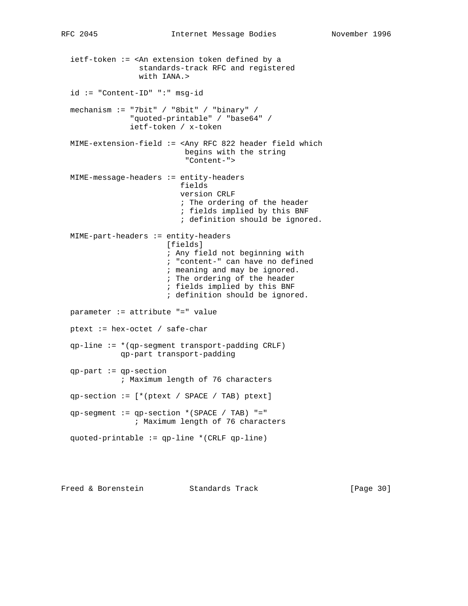ietf-token := <An extension token defined by a standards-track RFC and registered with IANA.> id := "Content-ID" ":" msg-id mechanism := "7bit" / "8bit" / "binary" / "quoted-printable" / "base64" / ietf-token / x-token MIME-extension-field := <Any RFC 822 header field which begins with the string "Content-"> MIME-message-headers := entity-headers fields version CRLF ; The ordering of the header ; fields implied by this BNF ; definition should be ignored. MIME-part-headers := entity-headers [fields] ; Any field not beginning with ; "content-" can have no defined ; meaning and may be ignored. ; The ordering of the header ; fields implied by this BNF ; definition should be ignored. parameter := attribute "=" value ptext := hex-octet / safe-char qp-line := \*(qp-segment transport-padding CRLF) qp-part transport-padding qp-part := qp-section ; Maximum length of 76 characters qp-section := [\*(ptext / SPACE / TAB) ptext] qp-segment := qp-section \*(SPACE / TAB) "=" ; Maximum length of 76 characters quoted-printable := qp-line \*(CRLF qp-line)

Freed & Borenstein Standards Track [Page 30]